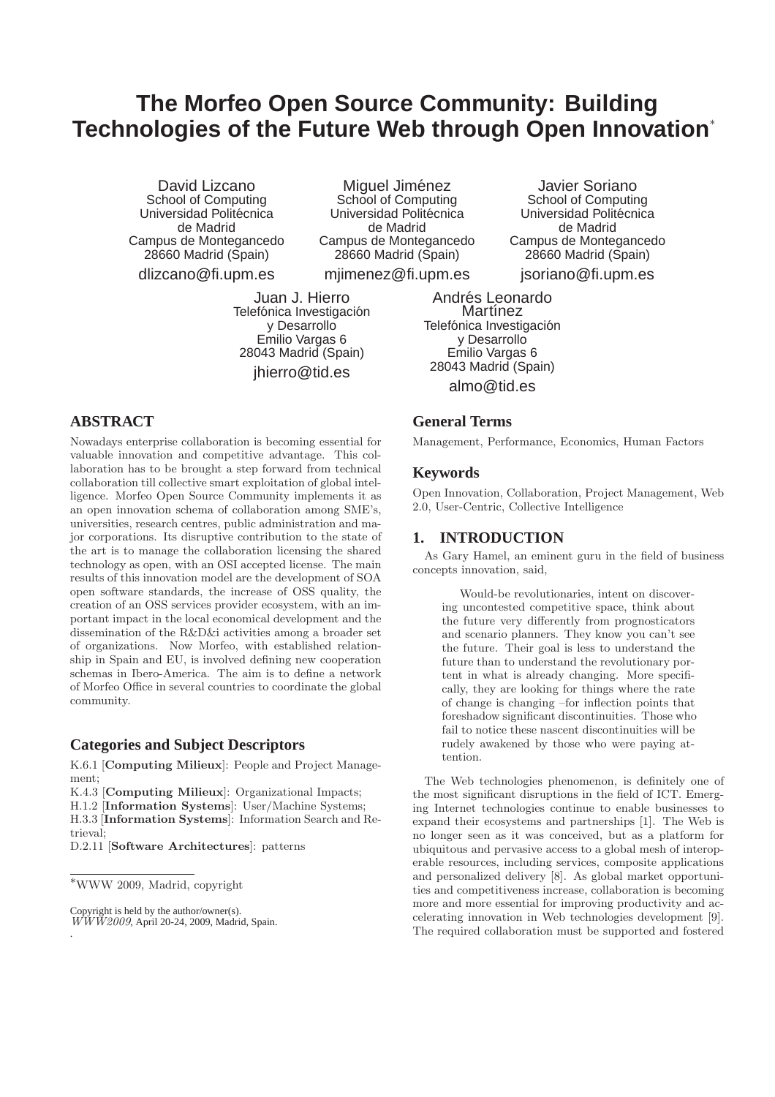# **The Morfeo Open Source Community: Building Technologies of the Future Web through Open Innovation**<sup>∗</sup>

David Lizcano School of Computing Universidad Politécnica de Madrid Campus de Montegancedo 28660 Madrid (Spain)

dlizcano@fi.upm.es

Miguel Jiménez School of Computing Universidad Politécnica de Madrid Campus de Montegancedo 28660 Madrid (Spain)

mjimenez@fi.upm.es

Juan J. Hierro Telefónica Investigación y Desarrollo Emilio Vargas 6 28043 Madrid (Spain) jhierro@tid.es

# **ABSTRACT**

Nowadays enterprise collaboration is becoming essential for valuable innovation and competitive advantage. This collaboration has to be brought a step forward from technical collaboration till collective smart exploitation of global intelligence. Morfeo Open Source Community implements it as an open innovation schema of collaboration among SME's, universities, research centres, public administration and major corporations. Its disruptive contribution to the state of the art is to manage the collaboration licensing the shared technology as open, with an OSI accepted license. The main results of this innovation model are the development of SOA open software standards, the increase of OSS quality, the creation of an OSS services provider ecosystem, with an important impact in the local economical development and the dissemination of the R&D&i activities among a broader set of organizations. Now Morfeo, with established relationship in Spain and EU, is involved defining new cooperation schemas in Ibero-America. The aim is to define a network of Morfeo Office in several countries to coordinate the global community.

## **Categories and Subject Descriptors**

K.6.1 [Computing Milieux]: People and Project Management;

K.4.3 [Computing Milieux]: Organizational Impacts;

H.1.2 [Information Systems]: User/Machine Systems;

H.3.3 [Information Systems]: Information Search and Retrieval;

D.2.11 [Software Architectures]: patterns

.

Andrés Leonardo Martínez Telefónica Investigación y Desarrollo Emilio Vargas 6 28043 Madrid (Spain) almo@tid.es

# **General Terms**

Management, Performance, Economics, Human Factors

Javier Soriano School of Computing Universidad Politécnica de Madrid Campus de Montegancedo 28660 Madrid (Spain)

#### **Keywords**

Open Innovation, Collaboration, Project Management, Web 2.0, User-Centric, Collective Intelligence

## **1. INTRODUCTION**

As Gary Hamel, an eminent guru in the field of business concepts innovation, said,

Would-be revolutionaries, intent on discovering uncontested competitive space, think about the future very differently from prognosticators and scenario planners. They know you can't see the future. Their goal is less to understand the future than to understand the revolutionary portent in what is already changing. More specifically, they are looking for things where the rate of change is changing –for inflection points that foreshadow significant discontinuities. Those who fail to notice these nascent discontinuities will be rudely awakened by those who were paying attention.

The Web technologies phenomenon, is definitely one of the most significant disruptions in the field of ICT. Emerging Internet technologies continue to enable businesses to expand their ecosystems and partnerships [1]. The Web is no longer seen as it was conceived, but as a platform for ubiquitous and pervasive access to a global mesh of interoperable resources, including services, composite applications and personalized delivery [8]. As global market opportunities and competitiveness increase, collaboration is becoming more and more essential for improving productivity and accelerating innovation in Web technologies development [9]. The required collaboration must be supported and fostered

jsoriano@fi.upm.es

<sup>∗</sup>WWW 2009, Madrid, copyright

Copyright is held by the author/owner(s). *WWW2009*, April 20-24, 2009, Madrid, Spain.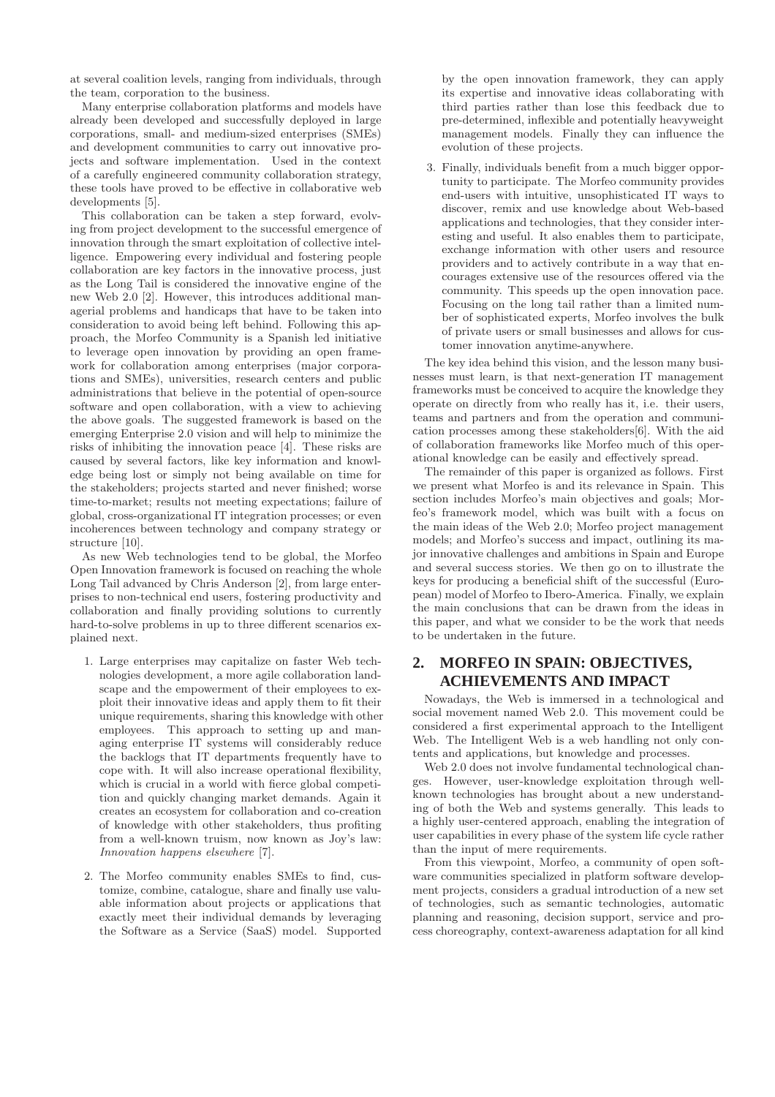at several coalition levels, ranging from individuals, through the team, corporation to the business.

Many enterprise collaboration platforms and models have already been developed and successfully deployed in large corporations, small- and medium-sized enterprises (SMEs) and development communities to carry out innovative projects and software implementation. Used in the context of a carefully engineered community collaboration strategy, these tools have proved to be effective in collaborative web developments [5].

This collaboration can be taken a step forward, evolving from project development to the successful emergence of innovation through the smart exploitation of collective intelligence. Empowering every individual and fostering people collaboration are key factors in the innovative process, just as the Long Tail is considered the innovative engine of the new Web 2.0 [2]. However, this introduces additional managerial problems and handicaps that have to be taken into consideration to avoid being left behind. Following this approach, the Morfeo Community is a Spanish led initiative to leverage open innovation by providing an open framework for collaboration among enterprises (major corporations and SMEs), universities, research centers and public administrations that believe in the potential of open-source software and open collaboration, with a view to achieving the above goals. The suggested framework is based on the emerging Enterprise 2.0 vision and will help to minimize the risks of inhibiting the innovation peace [4]. These risks are caused by several factors, like key information and knowledge being lost or simply not being available on time for the stakeholders; projects started and never finished; worse time-to-market; results not meeting expectations; failure of global, cross-organizational IT integration processes; or even incoherences between technology and company strategy or structure [10].

As new Web technologies tend to be global, the Morfeo Open Innovation framework is focused on reaching the whole Long Tail advanced by Chris Anderson [2], from large enterprises to non-technical end users, fostering productivity and collaboration and finally providing solutions to currently hard-to-solve problems in up to three different scenarios explained next.

- 1. Large enterprises may capitalize on faster Web technologies development, a more agile collaboration landscape and the empowerment of their employees to exploit their innovative ideas and apply them to fit their unique requirements, sharing this knowledge with other employees. This approach to setting up and managing enterprise IT systems will considerably reduce the backlogs that IT departments frequently have to cope with. It will also increase operational flexibility, which is crucial in a world with fierce global competition and quickly changing market demands. Again it creates an ecosystem for collaboration and co-creation of knowledge with other stakeholders, thus profiting from a well-known truism, now known as Joy's law: *Innovation happens elsewhere* [7].
- 2. The Morfeo community enables SMEs to find, customize, combine, catalogue, share and finally use valuable information about projects or applications that exactly meet their individual demands by leveraging the Software as a Service (SaaS) model. Supported

by the open innovation framework, they can apply its expertise and innovative ideas collaborating with third parties rather than lose this feedback due to pre-determined, inflexible and potentially heavyweight management models. Finally they can influence the evolution of these projects.

3. Finally, individuals benefit from a much bigger opportunity to participate. The Morfeo community provides end-users with intuitive, unsophisticated IT ways to discover, remix and use knowledge about Web-based applications and technologies, that they consider interesting and useful. It also enables them to participate, exchange information with other users and resource providers and to actively contribute in a way that encourages extensive use of the resources offered via the community. This speeds up the open innovation pace. Focusing on the long tail rather than a limited number of sophisticated experts, Morfeo involves the bulk of private users or small businesses and allows for customer innovation anytime-anywhere.

The key idea behind this vision, and the lesson many businesses must learn, is that next-generation IT management frameworks must be conceived to acquire the knowledge they operate on directly from who really has it, i.e. their users, teams and partners and from the operation and communication processes among these stakeholders[6]. With the aid of collaboration frameworks like Morfeo much of this operational knowledge can be easily and effectively spread.

The remainder of this paper is organized as follows. First we present what Morfeo is and its relevance in Spain. This section includes Morfeo's main objectives and goals; Morfeo's framework model, which was built with a focus on the main ideas of the Web 2.0; Morfeo project management models; and Morfeo's success and impact, outlining its major innovative challenges and ambitions in Spain and Europe and several success stories. We then go on to illustrate the keys for producing a beneficial shift of the successful (European) model of Morfeo to Ibero-America. Finally, we explain the main conclusions that can be drawn from the ideas in this paper, and what we consider to be the work that needs to be undertaken in the future.

# **2. MORFEO IN SPAIN: OBJECTIVES, ACHIEVEMENTS AND IMPACT**

Nowadays, the Web is immersed in a technological and social movement named Web 2.0. This movement could be considered a first experimental approach to the Intelligent Web. The Intelligent Web is a web handling not only contents and applications, but knowledge and processes.

Web 2.0 does not involve fundamental technological changes. However, user-knowledge exploitation through wellknown technologies has brought about a new understanding of both the Web and systems generally. This leads to a highly user-centered approach, enabling the integration of user capabilities in every phase of the system life cycle rather than the input of mere requirements.

From this viewpoint, Morfeo, a community of open software communities specialized in platform software development projects, considers a gradual introduction of a new set of technologies, such as semantic technologies, automatic planning and reasoning, decision support, service and process choreography, context-awareness adaptation for all kind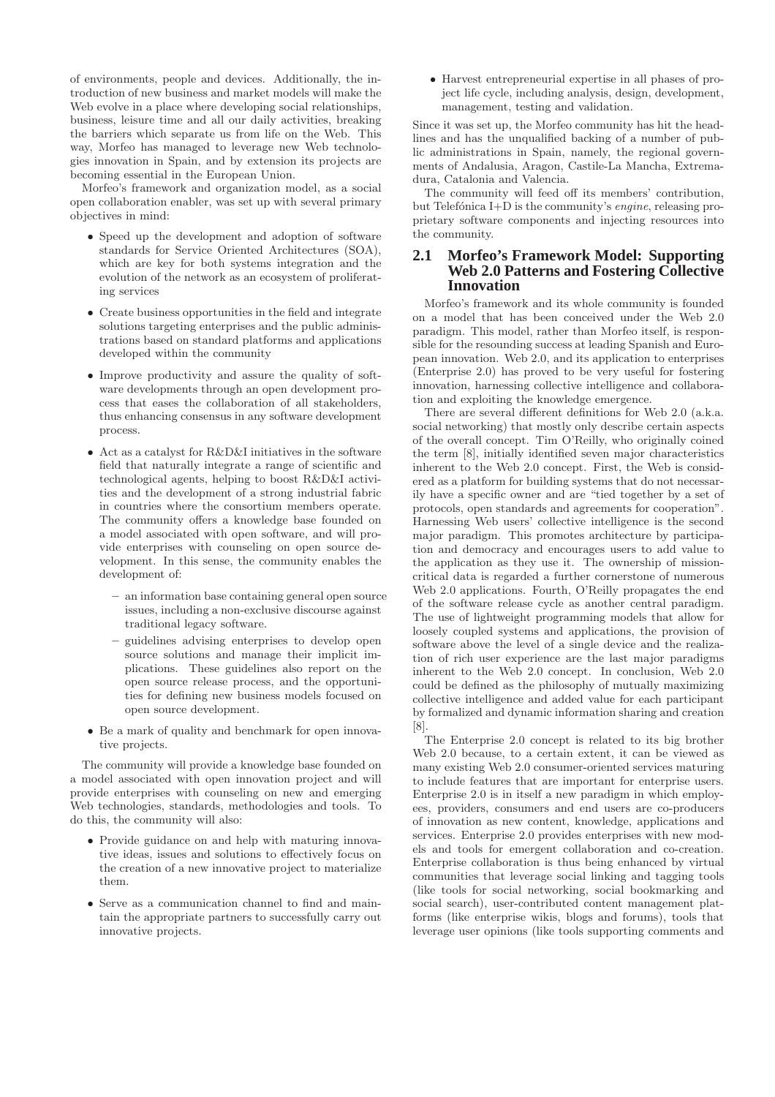of environments, people and devices. Additionally, the introduction of new business and market models will make the Web evolve in a place where developing social relationships, business, leisure time and all our daily activities, breaking the barriers which separate us from life on the Web. This way, Morfeo has managed to leverage new Web technologies innovation in Spain, and by extension its projects are becoming essential in the European Union.

Morfeo's framework and organization model, as a social open collaboration enabler, was set up with several primary objectives in mind:

- Speed up the development and adoption of software standards for Service Oriented Architectures (SOA), which are key for both systems integration and the evolution of the network as an ecosystem of proliferating services
- Create business opportunities in the field and integrate solutions targeting enterprises and the public administrations based on standard platforms and applications developed within the community
- Improve productivity and assure the quality of software developments through an open development process that eases the collaboration of all stakeholders, thus enhancing consensus in any software development process.
- Act as a catalyst for R&D&I initiatives in the software field that naturally integrate a range of scientific and technological agents, helping to boost R&D&I activities and the development of a strong industrial fabric in countries where the consortium members operate. The community offers a knowledge base founded on a model associated with open software, and will provide enterprises with counseling on open source development. In this sense, the community enables the development of:
	- an information base containing general open source issues, including a non-exclusive discourse against traditional legacy software.
	- guidelines advising enterprises to develop open source solutions and manage their implicit implications. These guidelines also report on the open source release process, and the opportunities for defining new business models focused on open source development.
- Be a mark of quality and benchmark for open innovative projects.

The community will provide a knowledge base founded on a model associated with open innovation project and will provide enterprises with counseling on new and emerging Web technologies, standards, methodologies and tools. To do this, the community will also:

- Provide guidance on and help with maturing innovative ideas, issues and solutions to effectively focus on the creation of a new innovative project to materialize them.
- Serve as a communication channel to find and maintain the appropriate partners to successfully carry out innovative projects.

• Harvest entrepreneurial expertise in all phases of project life cycle, including analysis, design, development, management, testing and validation.

Since it was set up, the Morfeo community has hit the headlines and has the unqualified backing of a number of public administrations in Spain, namely, the regional governments of Andalusia, Aragon, Castile-La Mancha, Extremadura, Catalonia and Valencia.

The community will feed off its members' contribution, but Telefónica I+D is the community's *engine*, releasing proprietary software components and injecting resources into the community.

## **2.1 Morfeo's Framework Model: Supporting Web 2.0 Patterns and Fostering Collective Innovation**

Morfeo's framework and its whole community is founded on a model that has been conceived under the Web 2.0 paradigm. This model, rather than Morfeo itself, is responsible for the resounding success at leading Spanish and European innovation. Web 2.0, and its application to enterprises (Enterprise 2.0) has proved to be very useful for fostering innovation, harnessing collective intelligence and collaboration and exploiting the knowledge emergence.

There are several different definitions for Web 2.0 (a.k.a. social networking) that mostly only describe certain aspects of the overall concept. Tim O'Reilly, who originally coined the term [8], initially identified seven major characteristics inherent to the Web 2.0 concept. First, the Web is considered as a platform for building systems that do not necessarily have a specific owner and are "tied together by a set of protocols, open standards and agreements for cooperation". Harnessing Web users' collective intelligence is the second major paradigm. This promotes architecture by participation and democracy and encourages users to add value to the application as they use it. The ownership of missioncritical data is regarded a further cornerstone of numerous Web 2.0 applications. Fourth, O'Reilly propagates the end of the software release cycle as another central paradigm. The use of lightweight programming models that allow for loosely coupled systems and applications, the provision of software above the level of a single device and the realization of rich user experience are the last major paradigms inherent to the Web 2.0 concept. In conclusion, Web 2.0 could be defined as the philosophy of mutually maximizing collective intelligence and added value for each participant by formalized and dynamic information sharing and creation [8].

The Enterprise 2.0 concept is related to its big brother Web 2.0 because, to a certain extent, it can be viewed as many existing Web 2.0 consumer-oriented services maturing to include features that are important for enterprise users. Enterprise 2.0 is in itself a new paradigm in which employees, providers, consumers and end users are co-producers of innovation as new content, knowledge, applications and services. Enterprise 2.0 provides enterprises with new models and tools for emergent collaboration and co-creation. Enterprise collaboration is thus being enhanced by virtual communities that leverage social linking and tagging tools (like tools for social networking, social bookmarking and social search), user-contributed content management platforms (like enterprise wikis, blogs and forums), tools that leverage user opinions (like tools supporting comments and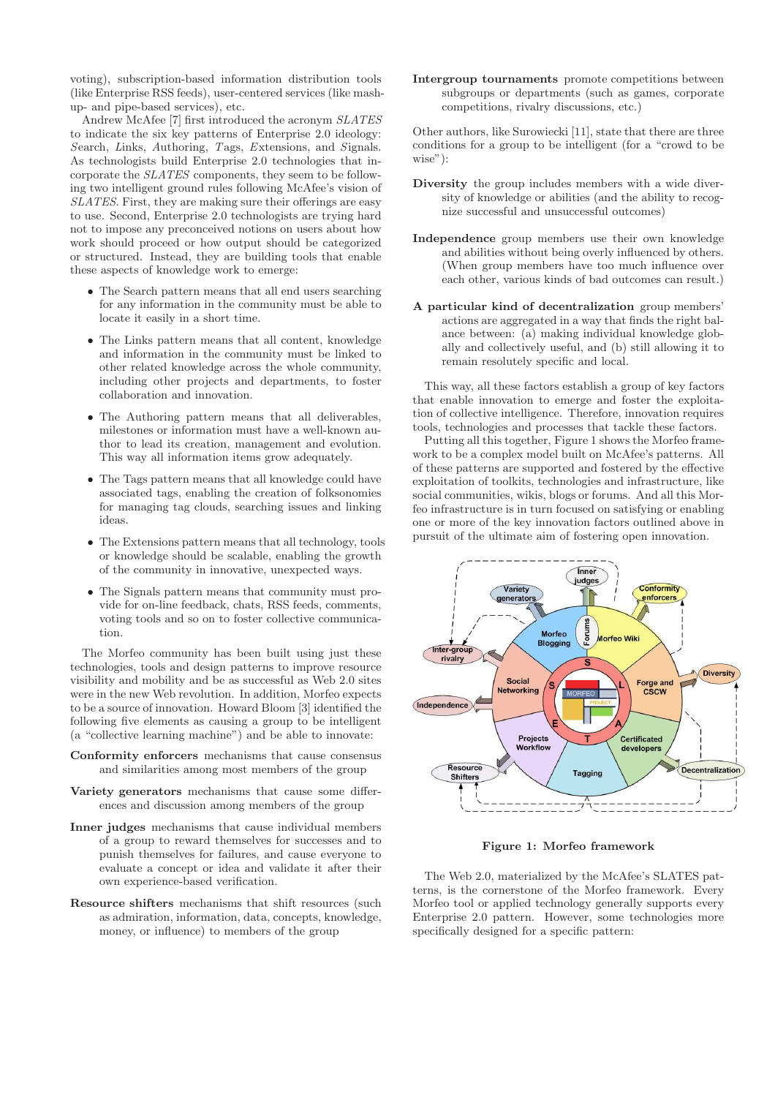voting), subscription-based information distribution tools (like Enterprise RSS feeds), user-centered services (like mashup- and pipe-based services), etc.

Andrew McAfee [7] first introduced the acronym *SLATES* to indicate the six key patterns of Enterprise 2.0 ideology: *S*earch, *L*inks, *A*uthoring, *T*ags, *E*xtensions, and *S*ignals. As technologists build Enterprise 2.0 technologies that incorporate the *SLATES* components, they seem to be following two intelligent ground rules following McAfee's vision of *SLATES*. First, they are making sure their offerings are easy to use. Second, Enterprise 2.0 technologists are trying hard not to impose any preconceived notions on users about how work should proceed or how output should be categorized or structured. Instead, they are building tools that enable these aspects of knowledge work to emerge:

- The Search pattern means that all end users searching for any information in the community must be able to locate it easily in a short time.
- The Links pattern means that all content, knowledge and information in the community must be linked to other related knowledge across the whole community, including other projects and departments, to foster collaboration and innovation.
- The Authoring pattern means that all deliverables, milestones or information must have a well-known author to lead its creation, management and evolution. This way all information items grow adequately.
- The Tags pattern means that all knowledge could have associated tags, enabling the creation of folksonomies for managing tag clouds, searching issues and linking ideas.
- The Extensions pattern means that all technology, tools or knowledge should be scalable, enabling the growth of the community in innovative, unexpected ways.
- The Signals pattern means that community must provide for on-line feedback, chats, RSS feeds, comments, voting tools and so on to foster collective communication.

The Morfeo community has been built using just these technologies, tools and design patterns to improve resource visibility and mobility and be as successful as Web 2.0 sites were in the new Web revolution. In addition, Morfeo expects to be a source of innovation. Howard Bloom [3] identified the following five elements as causing a group to be intelligent (a "collective learning machine") and be able to innovate:

- Conformity enforcers mechanisms that cause consensus and similarities among most members of the group
- Variety generators mechanisms that cause some differences and discussion among members of the group
- Inner judges mechanisms that cause individual members of a group to reward themselves for successes and to punish themselves for failures, and cause everyone to evaluate a concept or idea and validate it after their own experience-based verification.
- Resource shifters mechanisms that shift resources (such as admiration, information, data, concepts, knowledge, money, or influence) to members of the group

Intergroup tournaments promote competitions between subgroups or departments (such as games, corporate competitions, rivalry discussions, etc.)

Other authors, like Surowiecki [11], state that there are three conditions for a group to be intelligent (for a "crowd to be wise"):

- Diversity the group includes members with a wide diversity of knowledge or abilities (and the ability to recognize successful and unsuccessful outcomes)
- Independence group members use their own knowledge and abilities without being overly influenced by others. (When group members have too much influence over each other, various kinds of bad outcomes can result.)
- A particular kind of decentralization group members' actions are aggregated in a way that finds the right balance between: (a) making individual knowledge globally and collectively useful, and (b) still allowing it to remain resolutely specific and local.

This way, all these factors establish a group of key factors that enable innovation to emerge and foster the exploitation of collective intelligence. Therefore, innovation requires tools, technologies and processes that tackle these factors.

Putting all this together, Figure 1 shows the Morfeo framework to be a complex model built on McAfee's patterns. All of these patterns are supported and fostered by the effective exploitation of toolkits, technologies and infrastructure, like social communities, wikis, blogs or forums. And all this Morfeo infrastructure is in turn focused on satisfying or enabling one or more of the key innovation factors outlined above in pursuit of the ultimate aim of fostering open innovation.



Figure 1: Morfeo framework

The Web 2.0, materialized by the McAfee's SLATES patterns, is the cornerstone of the Morfeo framework. Every Morfeo tool or applied technology generally supports every Enterprise 2.0 pattern. However, some technologies more specifically designed for a specific pattern: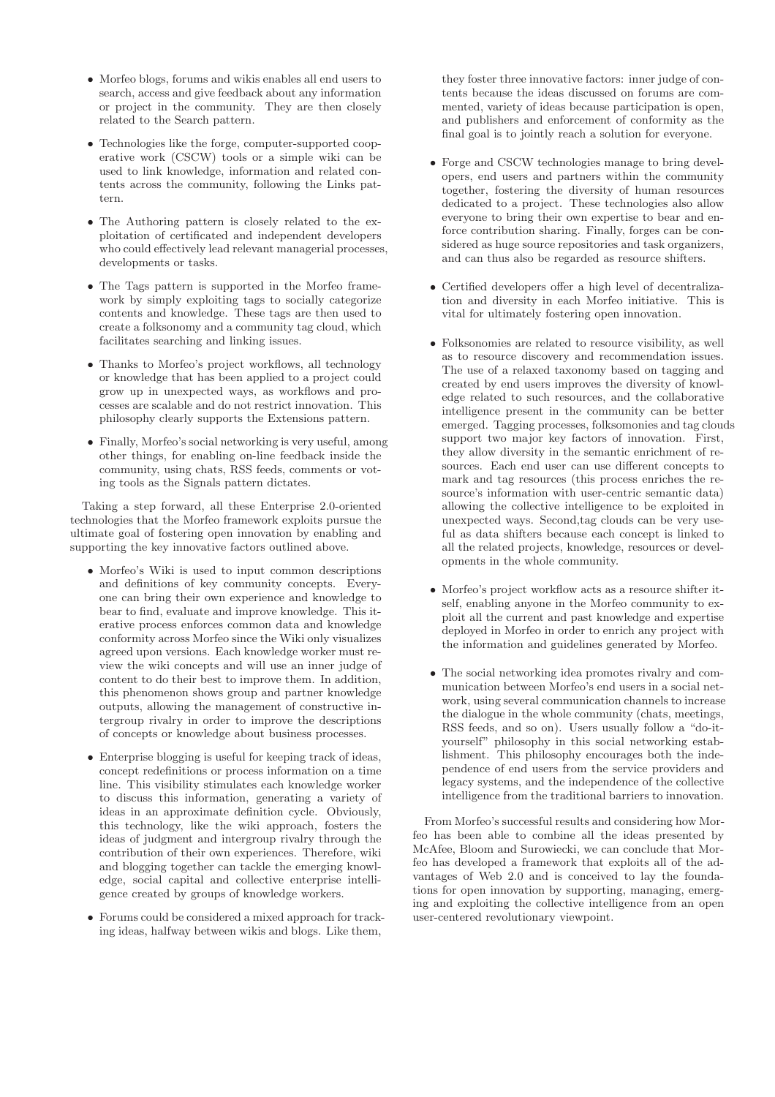- Morfeo blogs, forums and wikis enables all end users to search, access and give feedback about any information or project in the community. They are then closely related to the Search pattern.
- Technologies like the forge, computer-supported cooperative work (CSCW) tools or a simple wiki can be used to link knowledge, information and related contents across the community, following the Links pattern.
- The Authoring pattern is closely related to the exploitation of certificated and independent developers who could effectively lead relevant managerial processes, developments or tasks.
- The Tags pattern is supported in the Morfeo framework by simply exploiting tags to socially categorize contents and knowledge. These tags are then used to create a folksonomy and a community tag cloud, which facilitates searching and linking issues.
- Thanks to Morfeo's project workflows, all technology or knowledge that has been applied to a project could grow up in unexpected ways, as workflows and processes are scalable and do not restrict innovation. This philosophy clearly supports the Extensions pattern.
- Finally, Morfeo's social networking is very useful, among other things, for enabling on-line feedback inside the community, using chats, RSS feeds, comments or voting tools as the Signals pattern dictates.

Taking a step forward, all these Enterprise 2.0-oriented technologies that the Morfeo framework exploits pursue the ultimate goal of fostering open innovation by enabling and supporting the key innovative factors outlined above.

- Morfeo's Wiki is used to input common descriptions and definitions of key community concepts. Everyone can bring their own experience and knowledge to bear to find, evaluate and improve knowledge. This iterative process enforces common data and knowledge conformity across Morfeo since the Wiki only visualizes agreed upon versions. Each knowledge worker must review the wiki concepts and will use an inner judge of content to do their best to improve them. In addition, this phenomenon shows group and partner knowledge outputs, allowing the management of constructive intergroup rivalry in order to improve the descriptions of concepts or knowledge about business processes.
- Enterprise blogging is useful for keeping track of ideas, concept redefinitions or process information on a time line. This visibility stimulates each knowledge worker to discuss this information, generating a variety of ideas in an approximate definition cycle. Obviously, this technology, like the wiki approach, fosters the ideas of judgment and intergroup rivalry through the contribution of their own experiences. Therefore, wiki and blogging together can tackle the emerging knowledge, social capital and collective enterprise intelligence created by groups of knowledge workers.
- Forums could be considered a mixed approach for tracking ideas, halfway between wikis and blogs. Like them,

they foster three innovative factors: inner judge of contents because the ideas discussed on forums are commented, variety of ideas because participation is open, and publishers and enforcement of conformity as the final goal is to jointly reach a solution for everyone.

- Forge and CSCW technologies manage to bring developers, end users and partners within the community together, fostering the diversity of human resources dedicated to a project. These technologies also allow everyone to bring their own expertise to bear and enforce contribution sharing. Finally, forges can be considered as huge source repositories and task organizers, and can thus also be regarded as resource shifters.
- Certified developers offer a high level of decentralization and diversity in each Morfeo initiative. This is vital for ultimately fostering open innovation.
- Folksonomies are related to resource visibility, as well as to resource discovery and recommendation issues. The use of a relaxed taxonomy based on tagging and created by end users improves the diversity of knowledge related to such resources, and the collaborative intelligence present in the community can be better emerged. Tagging processes, folksomonies and tag clouds support two major key factors of innovation. First, they allow diversity in the semantic enrichment of resources. Each end user can use different concepts to mark and tag resources (this process enriches the resource's information with user-centric semantic data) allowing the collective intelligence to be exploited in unexpected ways. Second,tag clouds can be very useful as data shifters because each concept is linked to all the related projects, knowledge, resources or developments in the whole community.
- Morfeo's project workflow acts as a resource shifter itself, enabling anyone in the Morfeo community to exploit all the current and past knowledge and expertise deployed in Morfeo in order to enrich any project with the information and guidelines generated by Morfeo.
- The social networking idea promotes rivalry and communication between Morfeo's end users in a social network, using several communication channels to increase the dialogue in the whole community (chats, meetings, RSS feeds, and so on). Users usually follow a "do-ityourself" philosophy in this social networking establishment. This philosophy encourages both the independence of end users from the service providers and legacy systems, and the independence of the collective intelligence from the traditional barriers to innovation.

From Morfeo's successful results and considering how Morfeo has been able to combine all the ideas presented by McAfee, Bloom and Surowiecki, we can conclude that Morfeo has developed a framework that exploits all of the advantages of Web 2.0 and is conceived to lay the foundations for open innovation by supporting, managing, emerging and exploiting the collective intelligence from an open user-centered revolutionary viewpoint.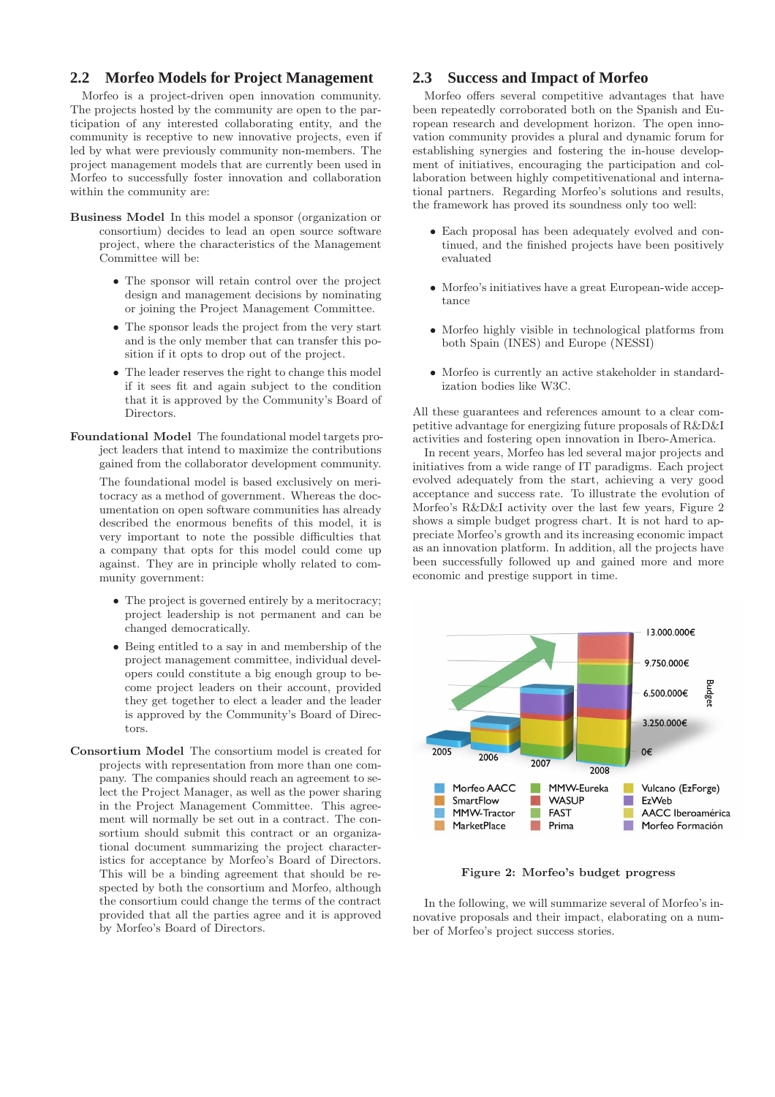#### **2.2 Morfeo Models for Project Management**

Morfeo is a project-driven open innovation community. The projects hosted by the community are open to the participation of any interested collaborating entity, and the community is receptive to new innovative projects, even if led by what were previously community non-members. The project management models that are currently been used in Morfeo to successfully foster innovation and collaboration within the community are:

- Business Model In this model a sponsor (organization or consortium) decides to lead an open source software project, where the characteristics of the Management Committee will be:
	- The sponsor will retain control over the project design and management decisions by nominating or joining the Project Management Committee.
	- The sponsor leads the project from the very start and is the only member that can transfer this position if it opts to drop out of the project.
	- The leader reserves the right to change this model if it sees fit and again subject to the condition that it is approved by the Community's Board of Directors.
- Foundational Model The foundational model targets project leaders that intend to maximize the contributions gained from the collaborator development community.

The foundational model is based exclusively on meritocracy as a method of government. Whereas the documentation on open software communities has already described the enormous benefits of this model, it is very important to note the possible difficulties that a company that opts for this model could come up against. They are in principle wholly related to community government:

- The project is governed entirely by a meritocracy; project leadership is not permanent and can be changed democratically.
- Being entitled to a say in and membership of the project management committee, individual developers could constitute a big enough group to become project leaders on their account, provided they get together to elect a leader and the leader is approved by the Community's Board of Directors.
- Consortium Model The consortium model is created for projects with representation from more than one company. The companies should reach an agreement to select the Project Manager, as well as the power sharing in the Project Management Committee. This agreement will normally be set out in a contract. The consortium should submit this contract or an organizational document summarizing the project characteristics for acceptance by Morfeo's Board of Directors. This will be a binding agreement that should be respected by both the consortium and Morfeo, although the consortium could change the terms of the contract provided that all the parties agree and it is approved by Morfeo's Board of Directors.

# **2.3 Success and Impact of Morfeo**

Morfeo offers several competitive advantages that have been repeatedly corroborated both on the Spanish and European research and development horizon. The open innovation community provides a plural and dynamic forum for establishing synergies and fostering the in-house development of initiatives, encouraging the participation and collaboration between highly competitivenational and international partners. Regarding Morfeo's solutions and results, the framework has proved its soundness only too well:

- Each proposal has been adequately evolved and continued, and the finished projects have been positively evaluated
- Morfeo's initiatives have a great European-wide acceptance
- Morfeo highly visible in technological platforms from both Spain (INES) and Europe (NESSI)
- Morfeo is currently an active stakeholder in standardization bodies like W3C.

All these guarantees and references amount to a clear competitive advantage for energizing future proposals of R&D&I activities and fostering open innovation in Ibero-America.

In recent years, Morfeo has led several major projects and initiatives from a wide range of IT paradigms. Each project evolved adequately from the start, achieving a very good acceptance and success rate. To illustrate the evolution of Morfeo's R&D&I activity over the last few years, Figure 2 shows a simple budget progress chart. It is not hard to appreciate Morfeo's growth and its increasing economic impact as an innovation platform. In addition, all the projects have been successfully followed up and gained more and more economic and prestige support in time.



Figure 2: Morfeo's budget progress

In the following, we will summarize several of Morfeo's innovative proposals and their impact, elaborating on a number of Morfeo's project success stories.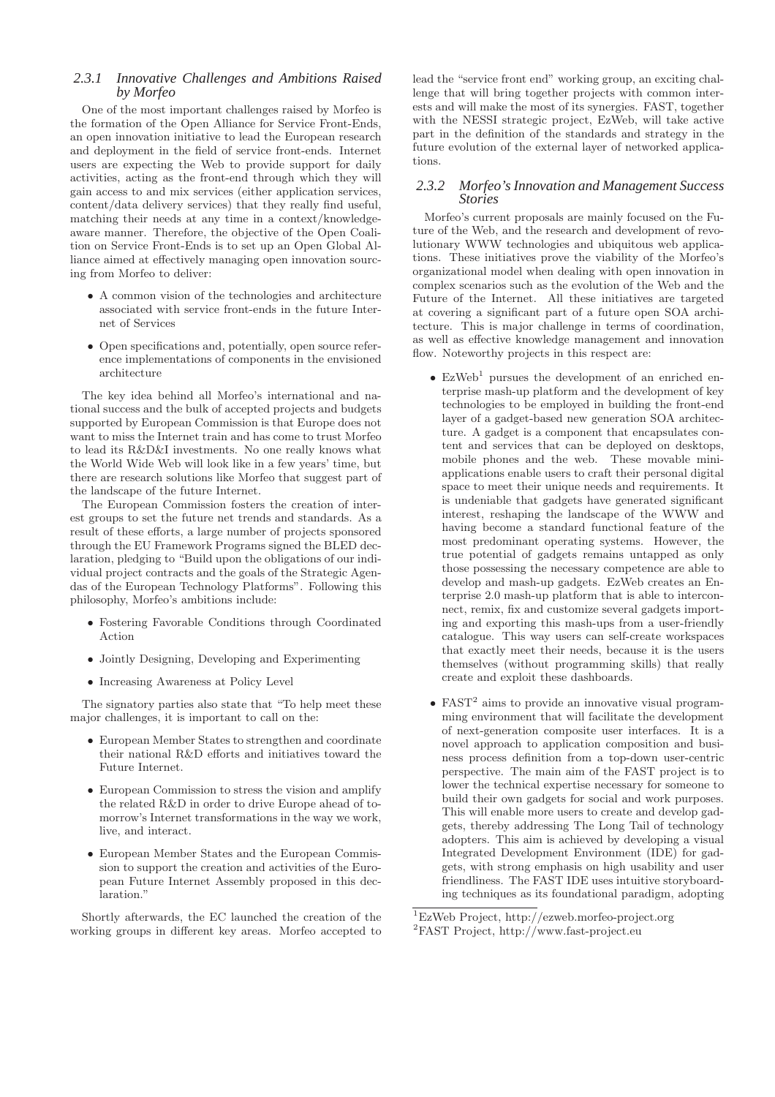#### *2.3.1 Innovative Challenges and Ambitions Raised by Morfeo*

One of the most important challenges raised by Morfeo is the formation of the Open Alliance for Service Front-Ends, an open innovation initiative to lead the European research and deployment in the field of service front-ends. Internet users are expecting the Web to provide support for daily activities, acting as the front-end through which they will gain access to and mix services (either application services, content/data delivery services) that they really find useful, matching their needs at any time in a context/knowledgeaware manner. Therefore, the objective of the Open Coalition on Service Front-Ends is to set up an Open Global Alliance aimed at effectively managing open innovation sourcing from Morfeo to deliver:

- A common vision of the technologies and architecture associated with service front-ends in the future Internet of Services
- Open specifications and, potentially, open source reference implementations of components in the envisioned architecture

The key idea behind all Morfeo's international and national success and the bulk of accepted projects and budgets supported by European Commission is that Europe does not want to miss the Internet train and has come to trust Morfeo to lead its R&D&I investments. No one really knows what the World Wide Web will look like in a few years' time, but there are research solutions like Morfeo that suggest part of the landscape of the future Internet.

The European Commission fosters the creation of interest groups to set the future net trends and standards. As a result of these efforts, a large number of projects sponsored through the EU Framework Programs signed the BLED declaration, pledging to "Build upon the obligations of our individual project contracts and the goals of the Strategic Agendas of the European Technology Platforms". Following this philosophy, Morfeo's ambitions include:

- Fostering Favorable Conditions through Coordinated Action
- Jointly Designing, Developing and Experimenting
- Increasing Awareness at Policy Level

The signatory parties also state that "To help meet these major challenges, it is important to call on the:

- European Member States to strengthen and coordinate their national R&D efforts and initiatives toward the Future Internet.
- European Commission to stress the vision and amplify the related R&D in order to drive Europe ahead of tomorrow's Internet transformations in the way we work, live, and interact.
- European Member States and the European Commission to support the creation and activities of the European Future Internet Assembly proposed in this declaration<sup>'</sup>

Shortly afterwards, the EC launched the creation of the working groups in different key areas. Morfeo accepted to

lead the "service front end" working group, an exciting challenge that will bring together projects with common interests and will make the most of its synergies. FAST, together with the NESSI strategic project, EzWeb, will take active part in the definition of the standards and strategy in the future evolution of the external layer of networked applications.

#### *2.3.2 Morfeo's Innovation and Management Success Stories*

Morfeo's current proposals are mainly focused on the Future of the Web, and the research and development of revolutionary WWW technologies and ubiquitous web applications. These initiatives prove the viability of the Morfeo's organizational model when dealing with open innovation in complex scenarios such as the evolution of the Web and the Future of the Internet. All these initiatives are targeted at covering a significant part of a future open SOA architecture. This is major challenge in terms of coordination, as well as effective knowledge management and innovation flow. Noteworthy projects in this respect are:

- $\bullet$  EzWeb<sup>1</sup> pursues the development of an enriched enterprise mash-up platform and the development of key technologies to be employed in building the front-end layer of a gadget-based new generation SOA architecture. A gadget is a component that encapsulates content and services that can be deployed on desktops, mobile phones and the web. These movable miniapplications enable users to craft their personal digital space to meet their unique needs and requirements. It is undeniable that gadgets have generated significant interest, reshaping the landscape of the WWW and having become a standard functional feature of the most predominant operating systems. However, the true potential of gadgets remains untapped as only those possessing the necessary competence are able to develop and mash-up gadgets. EzWeb creates an Enterprise 2.0 mash-up platform that is able to interconnect, remix, fix and customize several gadgets importing and exporting this mash-ups from a user-friendly catalogue. This way users can self-create workspaces that exactly meet their needs, because it is the users themselves (without programming skills) that really create and exploit these dashboards.
- $\bullet$  FAST<sup>2</sup> aims to provide an innovative visual programming environment that will facilitate the development of next-generation composite user interfaces. It is a novel approach to application composition and business process definition from a top-down user-centric perspective. The main aim of the FAST project is to lower the technical expertise necessary for someone to build their own gadgets for social and work purposes. This will enable more users to create and develop gadgets, thereby addressing The Long Tail of technology adopters. This aim is achieved by developing a visual Integrated Development Environment (IDE) for gadgets, with strong emphasis on high usability and user friendliness. The FAST IDE uses intuitive storyboarding techniques as its foundational paradigm, adopting

<sup>1</sup>EzWeb Project, http://ezweb.morfeo-project.org <sup>2</sup>FAST Project, http://www.fast-project.eu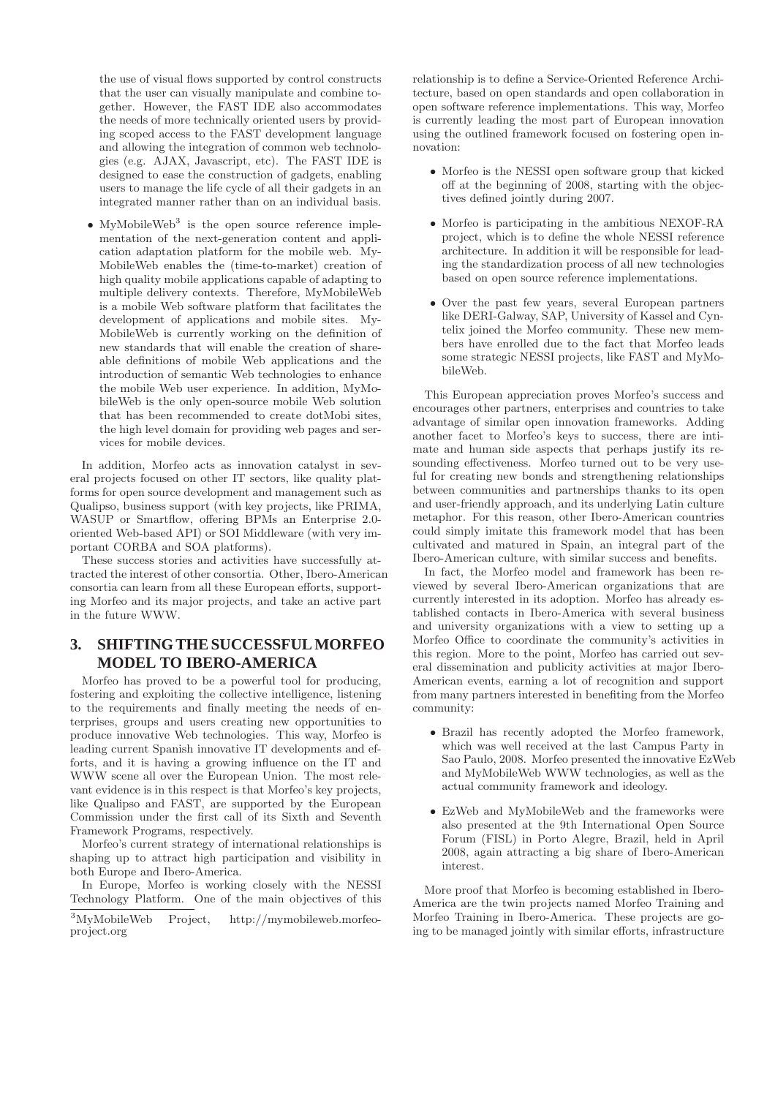the use of visual flows supported by control constructs that the user can visually manipulate and combine together. However, the FAST IDE also accommodates the needs of more technically oriented users by providing scoped access to the FAST development language and allowing the integration of common web technologies (e.g. AJAX, Javascript, etc). The FAST IDE is designed to ease the construction of gadgets, enabling users to manage the life cycle of all their gadgets in an integrated manner rather than on an individual basis.

 $\bullet$  MyMobileWeb<sup>3</sup> is the open source reference implementation of the next-generation content and application adaptation platform for the mobile web. My-MobileWeb enables the (time-to-market) creation of high quality mobile applications capable of adapting to multiple delivery contexts. Therefore, MyMobileWeb is a mobile Web software platform that facilitates the development of applications and mobile sites. My-MobileWeb is currently working on the definition of new standards that will enable the creation of shareable definitions of mobile Web applications and the introduction of semantic Web technologies to enhance the mobile Web user experience. In addition, MyMobileWeb is the only open-source mobile Web solution that has been recommended to create dotMobi sites, the high level domain for providing web pages and services for mobile devices.

In addition, Morfeo acts as innovation catalyst in several projects focused on other IT sectors, like quality platforms for open source development and management such as Qualipso, business support (with key projects, like PRIMA, WASUP or Smartflow, offering BPMs an Enterprise 2.0 oriented Web-based API) or SOI Middleware (with very important CORBA and SOA platforms).

These success stories and activities have successfully attracted the interest of other consortia. Other, Ibero-American consortia can learn from all these European efforts, supporting Morfeo and its major projects, and take an active part in the future WWW.

# **3. SHIFTING THE SUCCESSFUL MORFEO MODEL TO IBERO-AMERICA**

Morfeo has proved to be a powerful tool for producing, fostering and exploiting the collective intelligence, listening to the requirements and finally meeting the needs of enterprises, groups and users creating new opportunities to produce innovative Web technologies. This way, Morfeo is leading current Spanish innovative IT developments and efforts, and it is having a growing influence on the IT and WWW scene all over the European Union. The most relevant evidence is in this respect is that Morfeo's key projects, like Qualipso and FAST, are supported by the European Commission under the first call of its Sixth and Seventh Framework Programs, respectively.

Morfeo's current strategy of international relationships is shaping up to attract high participation and visibility in both Europe and Ibero-America.

In Europe, Morfeo is working closely with the NESSI Technology Platform. One of the main objectives of this

relationship is to define a Service-Oriented Reference Architecture, based on open standards and open collaboration in open software reference implementations. This way, Morfeo is currently leading the most part of European innovation using the outlined framework focused on fostering open innovation:

- Morfeo is the NESSI open software group that kicked off at the beginning of 2008, starting with the objectives defined jointly during 2007.
- Morfeo is participating in the ambitious NEXOF-RA project, which is to define the whole NESSI reference architecture. In addition it will be responsible for leading the standardization process of all new technologies based on open source reference implementations.
- Over the past few years, several European partners like DERI-Galway, SAP, University of Kassel and Cyntelix joined the Morfeo community. These new members have enrolled due to the fact that Morfeo leads some strategic NESSI projects, like FAST and MyMobileWeb.

This European appreciation proves Morfeo's success and encourages other partners, enterprises and countries to take advantage of similar open innovation frameworks. Adding another facet to Morfeo's keys to success, there are intimate and human side aspects that perhaps justify its resounding effectiveness. Morfeo turned out to be very useful for creating new bonds and strengthening relationships between communities and partnerships thanks to its open and user-friendly approach, and its underlying Latin culture metaphor. For this reason, other Ibero-American countries could simply imitate this framework model that has been cultivated and matured in Spain, an integral part of the Ibero-American culture, with similar success and benefits.

In fact, the Morfeo model and framework has been reviewed by several Ibero-American organizations that are currently interested in its adoption. Morfeo has already established contacts in Ibero-America with several business and university organizations with a view to setting up a Morfeo Office to coordinate the community's activities in this region. More to the point, Morfeo has carried out several dissemination and publicity activities at major Ibero-American events, earning a lot of recognition and support from many partners interested in benefiting from the Morfeo community:

- Brazil has recently adopted the Morfeo framework, which was well received at the last Campus Party in Sao Paulo, 2008. Morfeo presented the innovative EzWeb and MyMobileWeb WWW technologies, as well as the actual community framework and ideology.
- EzWeb and MyMobileWeb and the frameworks were also presented at the 9th International Open Source Forum (FISL) in Porto Alegre, Brazil, held in April 2008, again attracting a big share of Ibero-American interest.

More proof that Morfeo is becoming established in Ibero-America are the twin projects named Morfeo Training and Morfeo Training in Ibero-America. These projects are going to be managed jointly with similar efforts, infrastructure

<sup>3</sup>MyMobileWeb Project, http://mymobileweb.morfeoproject.org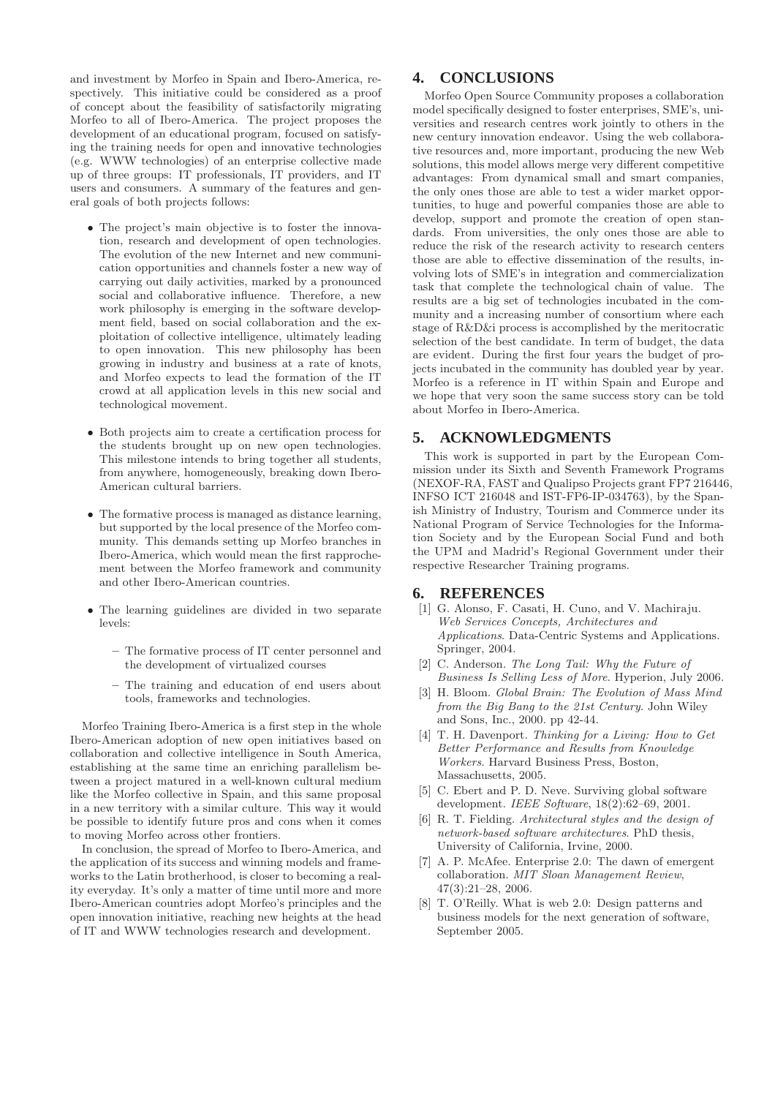and investment by Morfeo in Spain and Ibero-America, respectively. This initiative could be considered as a proof of concept about the feasibility of satisfactorily migrating Morfeo to all of Ibero-America. The project proposes the development of an educational program, focused on satisfying the training needs for open and innovative technologies (e.g. WWW technologies) of an enterprise collective made up of three groups: IT professionals, IT providers, and IT users and consumers. A summary of the features and general goals of both projects follows:

- The project's main objective is to foster the innovation, research and development of open technologies. The evolution of the new Internet and new communication opportunities and channels foster a new way of carrying out daily activities, marked by a pronounced social and collaborative influence. Therefore, a new work philosophy is emerging in the software development field, based on social collaboration and the exploitation of collective intelligence, ultimately leading to open innovation. This new philosophy has been growing in industry and business at a rate of knots, and Morfeo expects to lead the formation of the IT crowd at all application levels in this new social and technological movement.
- Both projects aim to create a certification process for the students brought up on new open technologies. This milestone intends to bring together all students, from anywhere, homogeneously, breaking down Ibero-American cultural barriers.
- The formative process is managed as distance learning, but supported by the local presence of the Morfeo community. This demands setting up Morfeo branches in Ibero-America, which would mean the first rapprochement between the Morfeo framework and community and other Ibero-American countries.
- The learning guidelines are divided in two separate levels:
	- The formative process of IT center personnel and the development of virtualized courses
	- The training and education of end users about tools, frameworks and technologies.

Morfeo Training Ibero-America is a first step in the whole Ibero-American adoption of new open initiatives based on collaboration and collective intelligence in South America, establishing at the same time an enriching parallelism between a project matured in a well-known cultural medium like the Morfeo collective in Spain, and this same proposal in a new territory with a similar culture. This way it would be possible to identify future pros and cons when it comes to moving Morfeo across other frontiers.

In conclusion, the spread of Morfeo to Ibero-America, and the application of its success and winning models and frameworks to the Latin brotherhood, is closer to becoming a reality everyday. It's only a matter of time until more and more Ibero-American countries adopt Morfeo's principles and the open innovation initiative, reaching new heights at the head of IT and WWW technologies research and development.

# **4. CONCLUSIONS**

Morfeo Open Source Community proposes a collaboration model specifically designed to foster enterprises, SME's, universities and research centres work jointly to others in the new century innovation endeavor. Using the web collaborative resources and, more important, producing the new Web solutions, this model allows merge very different competitive advantages: From dynamical small and smart companies, the only ones those are able to test a wider market opportunities, to huge and powerful companies those are able to develop, support and promote the creation of open standards. From universities, the only ones those are able to reduce the risk of the research activity to research centers those are able to effective dissemination of the results, involving lots of SME's in integration and commercialization task that complete the technological chain of value. The results are a big set of technologies incubated in the community and a increasing number of consortium where each stage of R&D&i process is accomplished by the meritocratic selection of the best candidate. In term of budget, the data are evident. During the first four years the budget of projects incubated in the community has doubled year by year. Morfeo is a reference in IT within Spain and Europe and we hope that very soon the same success story can be told about Morfeo in Ibero-America.

#### **5. ACKNOWLEDGMENTS**

This work is supported in part by the European Commission under its Sixth and Seventh Framework Programs (NEXOF-RA, FAST and Qualipso Projects grant FP7 216446, INFSO ICT 216048 and IST-FP6-IP-034763), by the Spanish Ministry of Industry, Tourism and Commerce under its National Program of Service Technologies for the Information Society and by the European Social Fund and both the UPM and Madrid's Regional Government under their respective Researcher Training programs.

#### **6. REFERENCES**

- [1] G. Alonso, F. Casati, H. Cuno, and V. Machiraju. *Web Services Concepts, Architectures and Applications*. Data-Centric Systems and Applications. Springer, 2004.
- [2] C. Anderson. *The Long Tail: Why the Future of Business Is Selling Less of More*. Hyperion, July 2006.
- [3] H. Bloom. *Global Brain: The Evolution of Mass Mind from the Big Bang to the 21st Century*. John Wiley and Sons, Inc., 2000. pp 42-44.
- [4] T. H. Davenport. *Thinking for a Living: How to Get Better Performance and Results from Knowledge Workers*. Harvard Business Press, Boston, Massachusetts, 2005.
- [5] C. Ebert and P. D. Neve. Surviving global software development. *IEEE Software*, 18(2):62–69, 2001.
- [6] R. T. Fielding. *Architectural styles and the design of network-based software architectures*. PhD thesis, University of California, Irvine, 2000.
- [7] A. P. McAfee. Enterprise 2.0: The dawn of emergent collaboration. *MIT Sloan Management Review*, 47(3):21–28, 2006.
- [8] T. O'Reilly. What is web 2.0: Design patterns and business models for the next generation of software, September 2005.